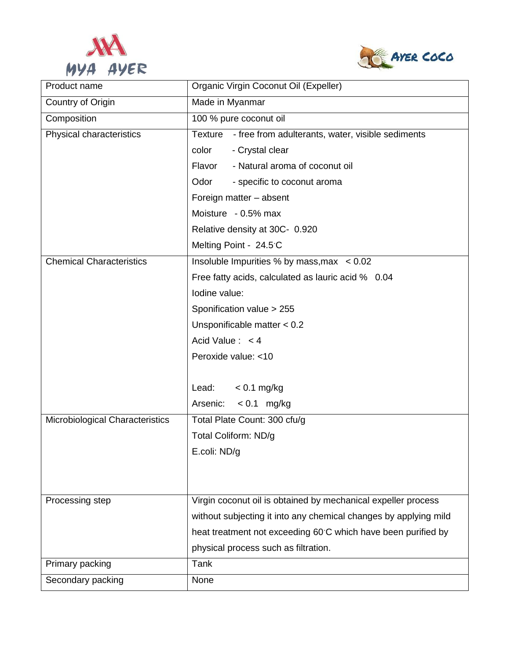



| Product name                    | Organic Virgin Coconut Oil (Expeller)                            |
|---------------------------------|------------------------------------------------------------------|
| Country of Origin               | Made in Myanmar                                                  |
| Composition                     | 100 % pure coconut oil                                           |
| Physical characteristics        | Texture<br>- free from adulterants, water, visible sediments     |
|                                 | color<br>- Crystal clear                                         |
|                                 | - Natural aroma of coconut oil<br>Flavor                         |
|                                 | Odor<br>- specific to coconut aroma                              |
|                                 | Foreign matter - absent                                          |
|                                 | Moisture - 0.5% max                                              |
|                                 | Relative density at 30C- 0.920                                   |
|                                 | Melting Point - 24.5 C                                           |
| <b>Chemical Characteristics</b> | Insoluble Impurities % by mass, max $\leq 0.02$                  |
|                                 | Free fatty acids, calculated as lauric acid % 0.04               |
|                                 | lodine value:                                                    |
|                                 | Sponification value > 255                                        |
|                                 | Unsponificable matter $< 0.2$                                    |
|                                 | Acid Value: $< 4$                                                |
|                                 | Peroxide value: <10                                              |
|                                 |                                                                  |
|                                 | $< 0.1$ mg/kg<br>Lead:                                           |
|                                 | $< 0.1$ mg/kg<br>Arsenic:                                        |
| Microbiological Characteristics | Total Plate Count: 300 cfu/g                                     |
|                                 | Total Coliform: ND/g                                             |
|                                 | E.coli: ND/g                                                     |
|                                 |                                                                  |
|                                 |                                                                  |
| Processing step                 | Virgin coconut oil is obtained by mechanical expeller process    |
|                                 | without subjecting it into any chemical changes by applying mild |
|                                 | heat treatment not exceeding 60°C which have been purified by    |
|                                 | physical process such as filtration.                             |
| Primary packing                 | Tank                                                             |
| Secondary packing               | None                                                             |